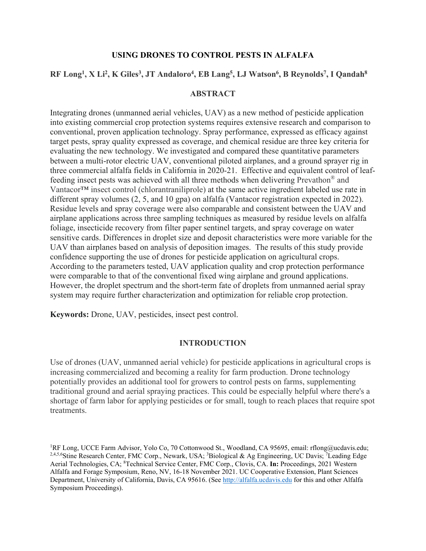## **USING DRONES TO CONTROL PESTS IN ALFALFA**

# RF Long<sup>1</sup>, X Li<sup>2</sup>, K Giles<sup>3</sup>, JT Andaloro<sup>4</sup>, EB Lang<sup>5</sup>, LJ Watson<sup>6</sup>, B Reynolds<sup>7</sup>, I Qandah<sup>8</sup>

#### **ABSTRACT**

Integrating drones (unmanned aerial vehicles, UAV) as a new method of pesticide application into existing commercial crop protection systems requires extensive research and comparison to conventional, proven application technology. Spray performance, expressed as efficacy against target pests, spray quality expressed as coverage, and chemical residue are three key criteria for evaluating the new technology. We investigated and compared these quantitative parameters between a multi-rotor electric UAV, conventional piloted airplanes, and a ground sprayer rig in three commercial alfalfa fields in California in 2020-21. Effective and equivalent control of leaffeeding insect pests was achieved with all three methods when delivering Prevathon® and Vantacor™ insect control (chlorantraniliprole) at the same active ingredient labeled use rate in different spray volumes (2, 5, and 10 gpa) on alfalfa (Vantacor registration expected in 2022). Residue levels and spray coverage were also comparable and consistent between the UAV and airplane applications across three sampling techniques as measured by residue levels on alfalfa foliage, insecticide recovery from filter paper sentinel targets, and spray coverage on water sensitive cards. Differences in droplet size and deposit characteristics were more variable for the UAV than airplanes based on analysis of deposition images. The results of this study provide confidence supporting the use of drones for pesticide application on agricultural crops. According to the parameters tested, UAV application quality and crop protection performance were comparable to that of the conventional fixed wing airplane and ground applications. However, the droplet spectrum and the short-term fate of droplets from unmanned aerial spray system may require further characterization and optimization for reliable crop protection.

**Keywords:** Drone, UAV, pesticides, insect pest control.

### **INTRODUCTION**

Use of drones (UAV, unmanned aerial vehicle) for pesticide applications in agricultural crops is increasing commercialized and becoming a reality for farm production. Drone technology potentially provides an additional tool for growers to control pests on farms, supplementing traditional ground and aerial spraying practices. This could be especially helpful where there's a shortage of farm labor for applying pesticides or for small, tough to reach places that require spot treatments.

<sup>&</sup>lt;sup>1</sup>RF Long, UCCE Farm Advisor, Yolo Co, 70 Cottonwood St., Woodland, CA 95695, email: rflong@ucdavis.edu; <sup>2,4,5,6</sup>Stine Research Center, FMC Corp., Newark, USA; <sup>3</sup>Biological & Ag Engineering, UC Davis; <sup>7</sup>Leading Edge Aerial Technologies, CA; <sup>8</sup>Technical Service Center, FMC Corp., Clovis, CA. In: Proceedings, 2021 Western Alfalfa and Forage Symposium, Reno, NV, 16-18 November 2021. UC Cooperative Extension, Plant Sciences Department, University of California, Davis, CA 95616. (See [http://alfalfa.ucdavis.edu](http://alfalfa.ucdavis.edu/) for this and other Alfalfa Symposium Proceedings).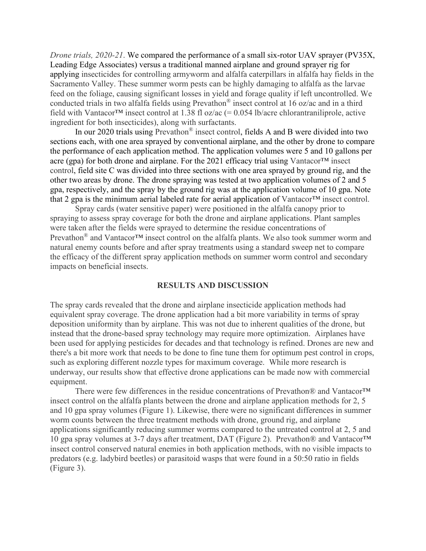*Drone trials, 2020-21*. We compared the performance of a small six-rotor UAV sprayer (PV35X, Leading Edge Associates) versus a traditional manned airplane and ground sprayer rig for applying insecticides for controlling armyworm and alfalfa caterpillars in alfalfa hay fields in the Sacramento Valley. These summer worm pests can be highly damaging to alfalfa as the larvae feed on the foliage, causing significant losses in yield and forage quality if left uncontrolled. We conducted trials in two alfalfa fields using Prevathon® insect control at 16 oz/ac and in a third field with Vantacor<sup>TM</sup> insect control at 1.38 fl oz/ac (=  $0.054$  lb/acre chlorantraniliprole, active ingredient for both insecticides), along with surfactants.

In our 2020 trials using Prevathon<sup>®</sup> insect control, fields A and B were divided into two sections each, with one area sprayed by conventional airplane, and the other by drone to compare the performance of each application method. The application volumes were 5 and 10 gallons per acre (gpa) for both drone and airplane. For the 2021 efficacy trial using Vantacor<sup>™</sup> insect control, field site C was divided into three sections with one area sprayed by ground rig, and the other two areas by drone. The drone spraying was tested at two application volumes of 2 and 5 gpa, respectively, and the spray by the ground rig was at the application volume of 10 gpa. Note that 2 gpa is the minimum aerial labeled rate for aerial application of Vantacor™ insect control.

Spray cards (water sensitive paper) were positioned in the alfalfa canopy prior to spraying to assess spray coverage for both the drone and airplane applications. Plant samples were taken after the fields were sprayed to determine the residue concentrations of Prevathon<sup>®</sup> and Vantacor<sup>™</sup> insect control on the alfalfa plants. We also took summer worm and natural enemy counts before and after spray treatments using a standard sweep net to compare the efficacy of the different spray application methods on summer worm control and secondary impacts on beneficial insects.

#### **RESULTS AND DISCUSSION**

The spray cards revealed that the drone and airplane insecticide application methods had equivalent spray coverage. The drone application had a bit more variability in terms of spray deposition uniformity than by airplane. This was not due to inherent qualities of the drone, but instead that the drone-based spray technology may require more optimization. Airplanes have been used for applying pesticides for decades and that technology is refined. Drones are new and there's a bit more work that needs to be done to fine tune them for optimum pest control in crops, such as exploring different nozzle types for maximum coverage. While more research is underway, our results show that effective drone applications can be made now with commercial equipment.

There were few differences in the residue concentrations of Prevathon® and Vantacor™ insect control on the alfalfa plants between the drone and airplane application methods for 2, 5 and 10 gpa spray volumes (Figure 1). Likewise, there were no significant differences in summer worm counts between the three treatment methods with drone, ground rig, and airplane applications significantly reducing summer worms compared to the untreated control at 2, 5 and 10 gpa spray volumes at 3-7 days after treatment, DAT (Figure 2). Prevathon® and Vantacor<sup>™</sup> insect control conserved natural enemies in both application methods, with no visible impacts to predators (e.g. ladybird beetles) or parasitoid wasps that were found in a 50:50 ratio in fields (Figure 3).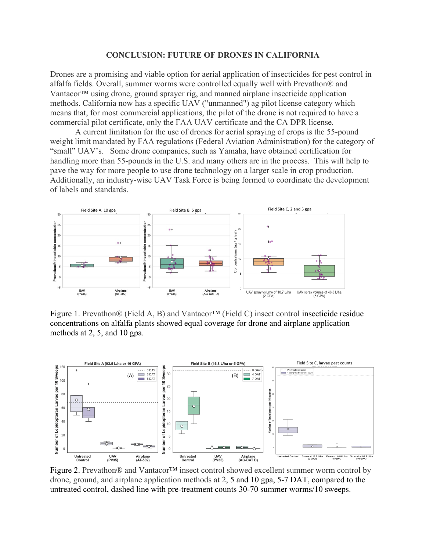#### **CONCLUSION: FUTURE OF DRONES IN CALIFORNIA**

Drones are a promising and viable option for aerial application of insecticides for pest control in alfalfa fields. Overall, summer worms were controlled equally well with Prevathon® and Vantacor™ using drone, ground sprayer rig, and manned airplane insecticide application methods. California now has a specific UAV ("unmanned") ag pilot license category which means that, for most commercial applications, the pilot of the drone is not required to have a commercial pilot certificate, only the FAA UAV certificate and the CA DPR license.

A current limitation for the use of drones for aerial spraying of crops is the 55-pound weight limit mandated by FAA regulations (Federal Aviation Administration) for the category of "small" UAV's. Some drone companies, such as Yamaha, have obtained certification for handling more than 55-pounds in the U.S. and many others are in the process. This will help to pave the way for more people to use drone technology on a larger scale in crop production. Additionally, an industry-wise UAV Task Force is being formed to coordinate the development of labels and standards.



Figure 1. Prevathon® (Field A, B) and Vantacor<sup>™</sup> (Field C) insect control insecticide residue concentrations on alfalfa plants showed equal coverage for drone and airplane application methods at 2, 5, and 10 gpa.



Figure 2. Prevathon® and Vantacor™ insect control showed excellent summer worm control by drone, ground, and airplane application methods at 2, 5 and 10 gpa, 5-7 DAT, compared to the untreated control, dashed line with pre-treatment counts 30-70 summer worms/10 sweeps.